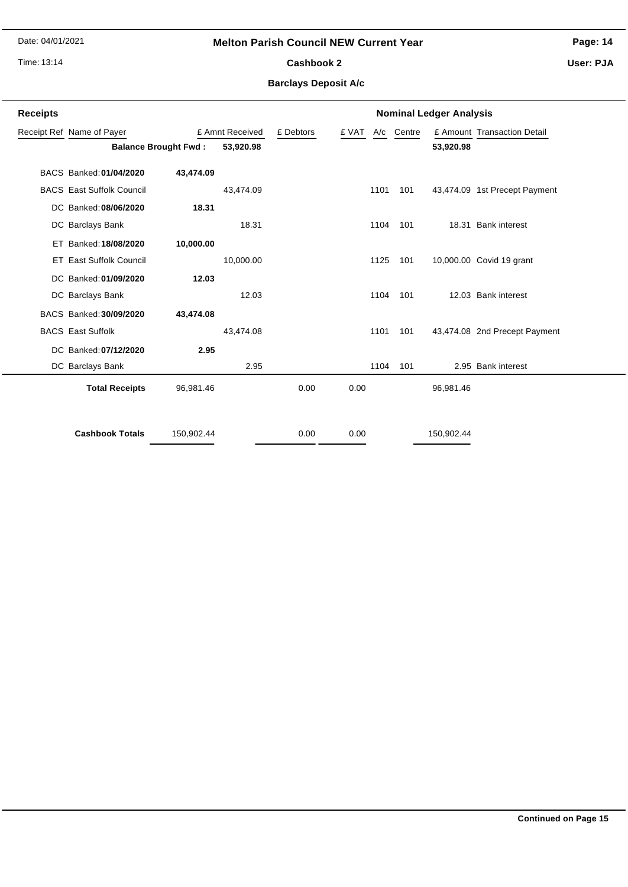Date: 04/01/2021

## **Melton Parish Council NEW Current Year**

**Page: 14**

Time: 13:14

# Cashbook 2

**User: PJA**

## **Barclays Deposit A/c**

| <b>Receipts</b> |                                  |                 |           |           | <b>Nominal Ledger Analysis</b> |  |            |            |                               |  |  |  |
|-----------------|----------------------------------|-----------------|-----------|-----------|--------------------------------|--|------------|------------|-------------------------------|--|--|--|
|                 | Receipt Ref Name of Payer        | £ Amnt Received |           | £ Debtors | £ VAT                          |  | A/c Centre |            | £ Amount Transaction Detail   |  |  |  |
|                 | <b>Balance Brought Fwd:</b>      |                 | 53,920.98 |           |                                |  |            | 53,920.98  |                               |  |  |  |
|                 | BACS Banked: 01/04/2020          | 43,474.09       |           |           |                                |  |            |            |                               |  |  |  |
|                 | <b>BACS</b> East Suffolk Council |                 | 43,474.09 |           | 1101                           |  | 101        |            | 43,474.09 1st Precept Payment |  |  |  |
|                 | DC Banked: 08/06/2020            | 18.31           |           |           |                                |  |            |            |                               |  |  |  |
|                 | DC Barclays Bank                 |                 | 18.31     |           | 1104                           |  | 101        |            | 18.31 Bank interest           |  |  |  |
|                 | ET Banked: 18/08/2020            | 10,000.00       |           |           |                                |  |            |            |                               |  |  |  |
|                 | <b>ET East Suffolk Council</b>   |                 | 10,000.00 |           | 1125                           |  | 101        |            | 10,000.00 Covid 19 grant      |  |  |  |
|                 | DC Banked: 01/09/2020            | 12.03           |           |           |                                |  |            |            |                               |  |  |  |
|                 | DC Barclays Bank                 |                 | 12.03     |           | 1104                           |  | 101        |            | 12.03 Bank interest           |  |  |  |
|                 | BACS Banked: 30/09/2020          | 43,474.08       |           |           |                                |  |            |            |                               |  |  |  |
|                 | <b>BACS</b> East Suffolk         |                 | 43,474.08 |           | 1101                           |  | 101        |            | 43,474.08 2nd Precept Payment |  |  |  |
|                 | DC Banked: 07/12/2020            | 2.95            |           |           |                                |  |            |            |                               |  |  |  |
|                 | DC Barclays Bank                 |                 | 2.95      |           | 1104                           |  | 101        |            | 2.95 Bank interest            |  |  |  |
|                 | <b>Total Receipts</b>            | 96,981.46       |           | 0.00      | 0.00                           |  |            | 96,981.46  |                               |  |  |  |
|                 | <b>Cashbook Totals</b>           | 150,902.44      |           | 0.00      | 0.00                           |  |            | 150,902.44 |                               |  |  |  |